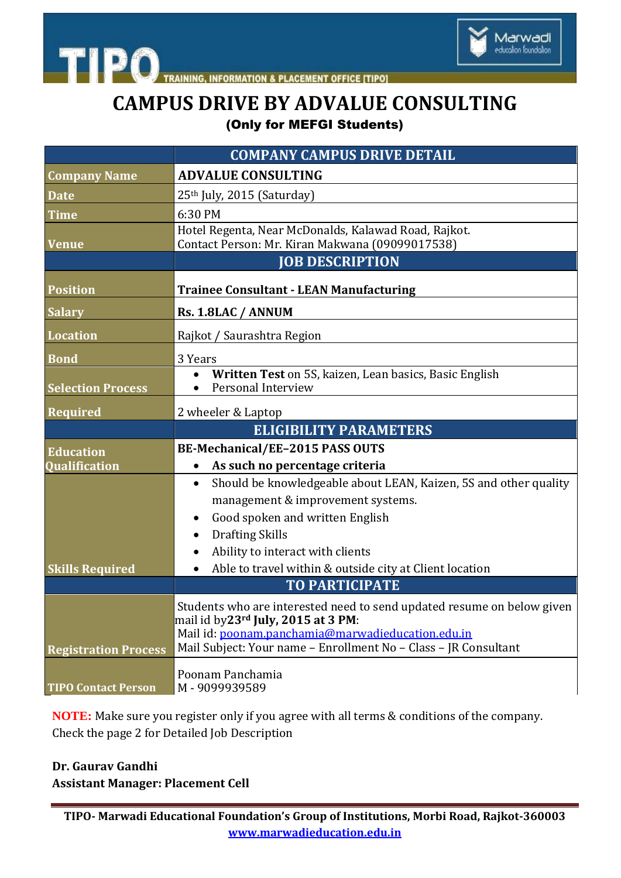

# **CAMPUS DRIVE BY ADVALUE CONSULTING** (Only for MEFGI Students)

|                             | <b>COMPANY CAMPUS DRIVE DETAIL</b>                                                                       |
|-----------------------------|----------------------------------------------------------------------------------------------------------|
| <b>Company Name</b>         | <b>ADVALUE CONSULTING</b>                                                                                |
| <b>Date</b>                 | 25th July, 2015 (Saturday)                                                                               |
| <b>Time</b>                 | 6:30 PM                                                                                                  |
|                             | Hotel Regenta, Near McDonalds, Kalawad Road, Rajkot.                                                     |
| <b>Venue</b>                | Contact Person: Mr. Kiran Makwana (09099017538)<br><b>JOB DESCRIPTION</b>                                |
|                             |                                                                                                          |
| <b>Position</b>             | <b>Trainee Consultant - LEAN Manufacturing</b>                                                           |
| <b>Salary</b>               | Rs. 1.8LAC / ANNUM                                                                                       |
| <b>Location</b>             | Rajkot / Saurashtra Region                                                                               |
| <b>Bond</b>                 | 3 Years                                                                                                  |
|                             | Written Test on 5S, kaizen, Lean basics, Basic English                                                   |
| <b>Selection Process</b>    | Personal Interview                                                                                       |
| Required                    | 2 wheeler & Laptop                                                                                       |
|                             | <b>ELIGIBILITY PARAMETERS</b>                                                                            |
| <b>Education</b>            | BE-Mechanical/EE-2015 PASS OUTS                                                                          |
| <b>Qualification</b>        | As such no percentage criteria                                                                           |
|                             | Should be knowledgeable about LEAN, Kaizen, 5S and other quality<br>$\bullet$                            |
|                             | management & improvement systems.                                                                        |
|                             | Good spoken and written English<br>$\bullet$                                                             |
|                             | <b>Drafting Skills</b><br>٠                                                                              |
|                             | Ability to interact with clients<br>Able to travel within & outside city at Client location<br>$\bullet$ |
| <b>Skills Required</b>      | <b>TO PARTICIPATE</b>                                                                                    |
|                             | Students who are interested need to send updated resume on below given                                   |
|                             | mail id by23rd July, 2015 at 3 PM:                                                                       |
|                             | Mail id: poonam.panchamia@marwadieducation.edu.in                                                        |
| <b>Registration Process</b> | Mail Subject: Your name - Enrollment No - Class - JR Consultant                                          |
|                             | Poonam Panchamia                                                                                         |
| <b>TIPO Contact Person</b>  | M-9099939589                                                                                             |

**NOTE:** Make sure you register only if you agree with all terms & conditions of the company. Check the page 2 for Detailed Job Description

## **Dr. Gaurav Gandhi Assistant Manager: Placement Cell**

**TIPO- Marwadi Educational Foundation's Group of Institutions, Morbi Road, Rajkot-360003 www.marwadieducation.edu.in**